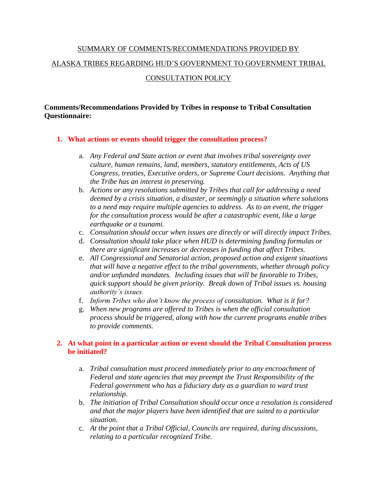# SUMMARY OF COMMENTS/RECOMMENDATIONS PROVIDED BY ALASKA TRIBES REGARDING HUD'S GOVERNMENT TO GOVERNMENT TRIBAL CONSULTATION POLICY

# **Comments/Recommendations Provided by Tribes in response to Tribal Consultation Questionnaire:**

#### **1. What actions or events should trigger the consultation process?**

- a. *Any Federal and State action or event that involves tribal sovereignty over culture, human remains, land, members, statutory entitlements, Acts of US Congress, treaties, Executive orders, or Supreme Court decisions. Anything that the Tribe has an interest in preserving.*
- b. *Actions or any resolutions submitted by Tribes that call for addressing a need deemed by a crisis situation, a disaster, or seemingly a situation where solutions to a need may require multiple agencies to address. As to an event, the trigger for the consultation process would be after a catastrophic event, like a large earthquake or a tsunami.*
- c. *Consultation should occur when issues are directly or will directly impact Tribes.*
- d. *Consultation should take place when HUD is determining funding formulas or there are significant increases or decreases in funding that affect Tribes.*
- e. *All Congressional and Senatorial action, proposed action and exigent situations that will have a negative effect to the tribal governments, whether through policy and/or unfunded mandates. Including issues that will be favorable to Tribes, quick support should be given priority. Break down of Tribal issues vs. housing authority's issues.*
- f. *Inform Tribes who don't know the process of consultation. What is it for?*
- g. *When new programs are offered to Tribes is when the official consultation process should be triggered, along with how the current programs enable tribes to provide comments.*

#### **2. At what point in a particular action or event should the Tribal Consultation process be initiated?**

- a. *Tribal consultation must proceed immediately prior to any encroachment of Federal and state agencies that may preempt the Trust Responsibility of the Federal government who has a fiduciary duty as a guardian to ward trust relationship.*
- b. *The initiation of Tribal Consultation should occur once a resolution is considered and that the major players have been identified that are suited to a particular situation.*
- c. *At the point that a Tribal Official, Councils are required, during discussions, relating to a particular recognized Tribe.*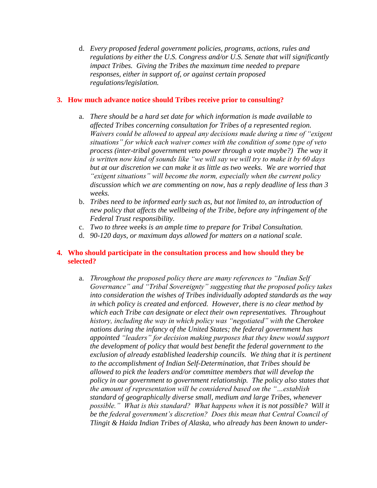d. *Every proposed federal government policies, programs, actions, rules and regulations by either the U.S. Congress and/or U.S. Senate that will significantly impact Tribes. Giving the Tribes the maximum time needed to prepare responses, either in support of, or against certain proposed regulations/legislation.*

#### **3. How much advance notice should Tribes receive prior to consulting?**

- a. *There should be a hard set date for which information is made available to affected Tribes concerning consultation for Tribes of a represented region. Waivers could be allowed to appeal any decisions made during a time of "exigent situations" for which each waiver comes with the condition of some type of veto process (inter-tribal government veto power through a vote maybe?) The way it is written now kind of sounds like "we will say we will try to make it by 60 days but at our discretion we can make it as little as two weeks. We are worried that "exigent situations" will become the norm, especially when the current policy discussion which we are commenting on now, has a reply deadline of less than 3 weeks.*
- b. *Tribes need to be informed early such as, but not limited to, an introduction of new policy that affects the wellbeing of the Tribe, before any infringement of the Federal Trust responsibility.*
- c. *Two to three weeks is an ample time to prepare for Tribal Consultation.*
- d. *90-120 days, or maximum days allowed for matters on a national scale.*

#### **4. Who should participate in the consultation process and how should they be selected?**

a. *Throughout the proposed policy there are many references to "Indian Self Governance" and "Tribal Sovereignty" suggesting that the proposed policy takes into consideration the wishes of Tribes individually adopted standards as the way in which policy is created and enforced. However, there is no clear method by which each Tribe can designate or elect their own representatives. Throughout history, including the way in which policy was "negotiated" with the Cherokee nations during the infancy of the United States; the federal government has appointed "leaders" for decision making purposes that they knew would support the development of policy that would best benefit the federal government to the exclusion of already established leadership councils. We thing that it is pertinent to the accomplishment of Indian Self-Determination, that Tribes should be allowed to pick the leaders and/or committee members that will develop the policy in our government to government relationship. The policy also states that the amount of representation will be considered based on the "…establish standard of geographically diverse small, medium and large Tribes, whenever possible." What is this standard? What happens when it is not possible? Will it be the federal government's discretion? Does this mean that Central Council of Tlingit & Haida Indian Tribes of Alaska, who already has been known to under-*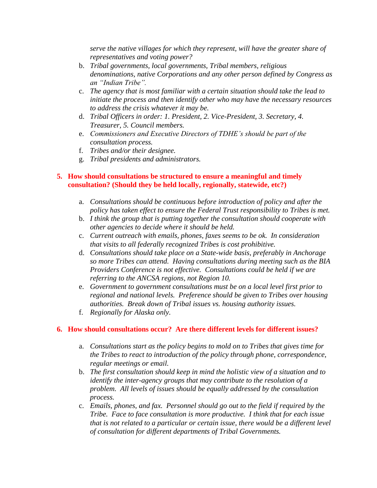*serve the native villages for which they represent, will have the greater share of representatives and voting power?*

- b. *Tribal governments, local governments, Tribal members, religious denominations, native Corporations and any other person defined by Congress as an "Indian Tribe".*
- c. *The agency that is most familiar with a certain situation should take the lead to initiate the process and then identify other who may have the necessary resources to address the crisis whatever it may be.*
- d. *Tribal Officers in order: 1. President, 2. Vice-President, 3. Secretary, 4. Treasurer, 5. Council members.*
- e. *Commissioners and Executive Directors of TDHE's should be part of the consultation process.*
- f. *Tribes and/or their designee.*
- g. *Tribal presidents and administrators.*

# **5. How should consultations be structured to ensure a meaningful and timely consultation? (Should they be held locally, regionally, statewide, etc?)**

- a. *Consultations should be continuous before introduction of policy and after the policy has taken effect to ensure the Federal Trust responsibility to Tribes is met.*
- b. *I think the group that is putting together the consultation should cooperate with other agencies to decide where it should be held.*
- c. *Current outreach with emails, phones, faxes seems to be ok. In consideration that visits to all federally recognized Tribes is cost prohibitive.*
- d. *Consultations should take place on a State-wide basis, preferably in Anchorage so more Tribes can attend. Having consultations during meeting such as the BIA Providers Conference is not effective. Consultations could be held if we are referring to the ANCSA regions, not Region 10.*
- e. *Government to government consultations must be on a local level first prior to regional and national levels. Preference should be given to Tribes over housing authorities. Break down of Tribal issues vs. housing authority issues.*
- f. *Regionally for Alaska only.*

# **6. How should consultations occur? Are there different levels for different issues?**

- a. *Consultations start as the policy begins to mold on to Tribes that gives time for the Tribes to react to introduction of the policy through phone, correspondence, regular meetings or email.*
- b. *The first consultation should keep in mind the holistic view of a situation and to identify the inter-agency groups that may contribute to the resolution of a problem. All levels of issues should be equally addressed by the consultation process.*
- c. *Emails, phones, and fax. Personnel should go out to the field if required by the Tribe. Face to face consultation is more productive. I think that for each issue that is not related to a particular or certain issue, there would be a different level of consultation for different departments of Tribal Governments.*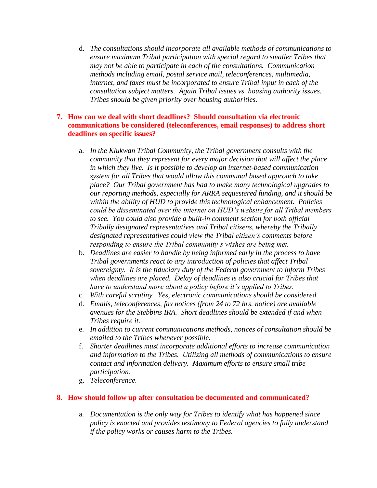d. *The consultations should incorporate all available methods of communications to ensure maximum Tribal participation with special regard to smaller Tribes that may not be able to participate in each of the consultations. Communication methods including email, postal service mail, teleconferences, multimedia, internet, and faxes must be incorporated to ensure Tribal input in each of the consultation subject matters. Again Tribal issues vs. housing authority issues. Tribes should be given priority over housing authorities.*

# **7. How can we deal with short deadlines? Should consultation via electronic communications be considered (teleconferences, email responses) to address short deadlines on specific issues?**

- a. *In the Klukwan Tribal Community, the Tribal government consults with the community that they represent for every major decision that will affect the place in which they live. Is it possible to develop an internet-based communication system for all Tribes that would allow this communal based approach to take place? Our Tribal government has had to make many technological upgrades to our reporting methods, especially for ARRA sequestered funding, and it should be within the ability of HUD to provide this technological enhancement. Policies could be disseminated over the internet on HUD's website for all Tribal members to see. You could also provide a built-in comment section for both official Tribally designated representatives and Tribal citizens, whereby the Tribally designated representatives could view the Tribal citizen's comments before responding to ensure the Tribal community's wishes are being met.*
- b. *Deadlines are easier to handle by being informed early in the process to have Tribal governments react to any introduction of policies that affect Tribal sovereignty. It is the fiduciary duty of the Federal government to inform Tribes when deadlines are placed. Delay of deadlines is also crucial for Tribes that have to understand more about a policy before it's applied to Tribes.*
- c. *With careful scrutiny. Yes, electronic communications should be considered.*
- d. *Emails, teleconferences, fax notices (from 24 to 72 hrs. notice) are available avenues for the Stebbins IRA. Short deadlines should be extended if and when Tribes require it.*
- e. *In addition to current communications methods, notices of consultation should be emailed to the Tribes whenever possible.*
- f. *Shorter deadlines must incorporate additional efforts to increase communication and information to the Tribes. Utilizing all methods of communications to ensure contact and information delivery. Maximum efforts to ensure small tribe participation.*
- g. *Teleconference.*

#### **8. How should follow up after consultation be documented and communicated?**

a. *Documentation is the only way for Tribes to identify what has happened since policy is enacted and provides testimony to Federal agencies to fully understand if the policy works or causes harm to the Tribes.*